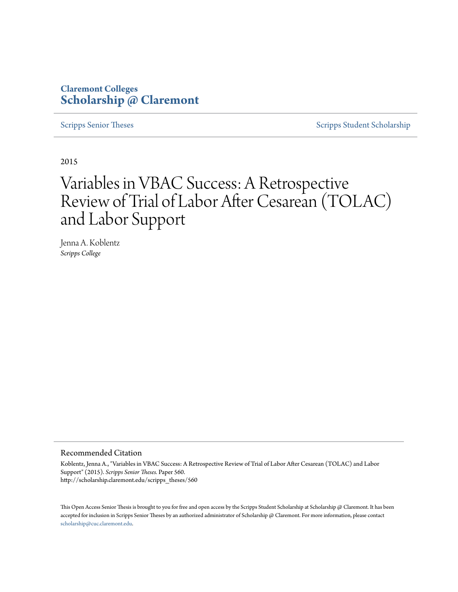# **Claremont Colleges [Scholarship @ Claremont](http://scholarship.claremont.edu)**

[Scripps Senior Theses](http://scholarship.claremont.edu/scripps_theses) [Scripps Student Scholarship](http://scholarship.claremont.edu/scripps_student)

2015

# Variables in VBAC Success: A Retrospective Review of Trial of Labor After Cesarean (TOLAC) and Labor Support

Jenna A. Koblentz *Scripps College*

#### Recommended Citation

Koblentz, Jenna A., "Variables in VBAC Success: A Retrospective Review of Trial of Labor After Cesarean (TOLAC) and Labor Support" (2015). *Scripps Senior Theses.* Paper 560. http://scholarship.claremont.edu/scripps\_theses/560

This Open Access Senior Thesis is brought to you for free and open access by the Scripps Student Scholarship at Scholarship @ Claremont. It has been accepted for inclusion in Scripps Senior Theses by an authorized administrator of Scholarship @ Claremont. For more information, please contact [scholarship@cuc.claremont.edu.](mailto:scholarship@cuc.claremont.edu)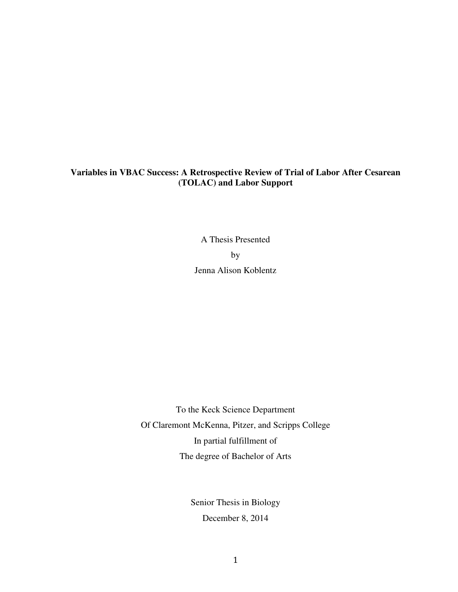## **Variables in VBAC Success: A Retrospective Review of Trial of Labor After Cesarean (TOLAC) and Labor Support**

A Thesis Presented by Jenna Alison Koblentz

To the Keck Science Department Of Claremont McKenna, Pitzer, and Scripps College In partial fulfillment of The degree of Bachelor of Arts

> Senior Thesis in Biology December 8, 2014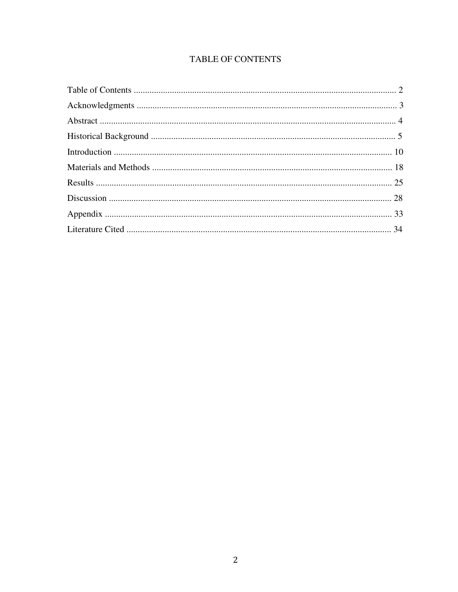# TABLE OF CONTENTS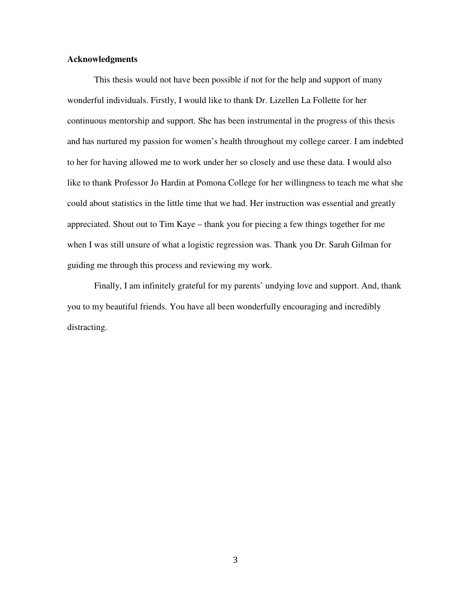## **Acknowledgments**

This thesis would not have been possible if not for the help and support of many wonderful individuals. Firstly, I would like to thank Dr. Lizellen La Follette for her continuous mentorship and support. She has been instrumental in the progress of this thesis and has nurtured my passion for women's health throughout my college career. I am indebted to her for having allowed me to work under her so closely and use these data. I would also like to thank Professor Jo Hardin at Pomona College for her willingness to teach me what she could about statistics in the little time that we had. Her instruction was essential and greatly appreciated. Shout out to Tim Kaye – thank you for piecing a few things together for me when I was still unsure of what a logistic regression was. Thank you Dr. Sarah Gilman for guiding me through this process and reviewing my work.

Finally, I am infinitely grateful for my parents' undying love and support. And, thank you to my beautiful friends. You have all been wonderfully encouraging and incredibly distracting.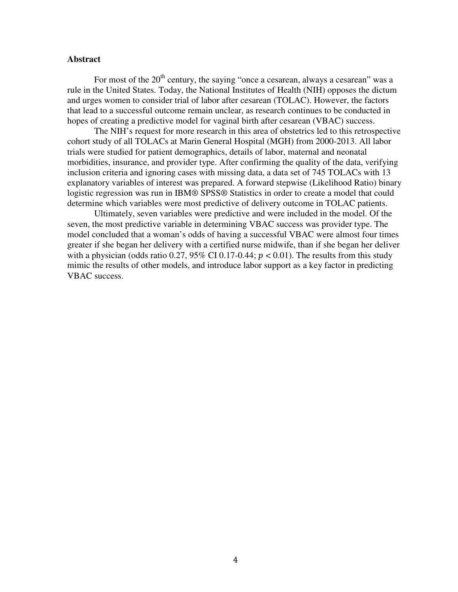#### **Abstract**

For most of the  $20<sup>th</sup>$  century, the saying "once a cesarean, always a cesarean" was a rule in the United States. Today, the National Institutes of Health (NIH) opposes the dictum and urges women to consider trial of labor after cesarean (TOLAC). However, the factors that lead to a successful outcome remain unclear, as research continues to be conducted in hopes of creating a predictive model for vaginal birth after cesarean (VBAC) success.

The NIH's request for more research in this area of obstetrics led to this retrospective cohort study of all TOLACs at Marin General Hospital (MGH) from 2000-2013. All labor trials were studied for patient demographics, details of labor, maternal and neonatal morbidities, insurance, and provider type. After confirming the quality of the data, verifying inclusion criteria and ignoring cases with missing data, a data set of 745 TOLACs with 13 explanatory variables of interest was prepared. A forward stepwise (Likelihood Ratio) binary logistic regression was run in IBM® SPSS® Statistics in order to create a model that could determine which variables were most predictive of delivery outcome in TOLAC patients.

Ultimately, seven variables were predictive and were included in the model. Of the seven, the most predictive variable in determining VBAC success was provider type. The model concluded that a woman's odds of having a successful VBAC were almost four times greater if she began her delivery with a certified nurse midwife, than if she began her deliver with a physician (odds ratio 0.27, 95% CI 0.17-0.44;  $p < 0.01$ ). The results from this study mimic the results of other models, and introduce labor support as a key factor in predicting VBAC success.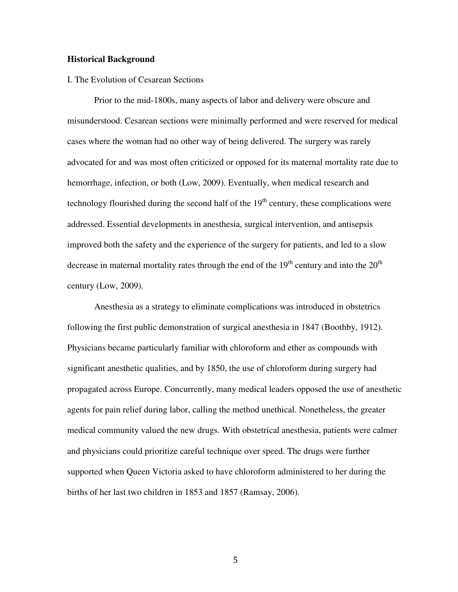#### **Historical Background**

#### I. The Evolution of Cesarean Sections

 Prior to the mid-1800s, many aspects of labor and delivery were obscure and misunderstood. Cesarean sections were minimally performed and were reserved for medical cases where the woman had no other way of being delivered. The surgery was rarely advocated for and was most often criticized or opposed for its maternal mortality rate due to hemorrhage, infection, or both (Low, 2009). Eventually, when medical research and technology flourished during the second half of the  $19<sup>th</sup>$  century, these complications were addressed. Essential developments in anesthesia, surgical intervention, and antisepsis improved both the safety and the experience of the surgery for patients, and led to a slow decrease in maternal mortality rates through the end of the  $19<sup>th</sup>$  century and into the  $20<sup>th</sup>$ century (Low, 2009).

Anesthesia as a strategy to eliminate complications was introduced in obstetrics following the first public demonstration of surgical anesthesia in 1847 (Boothby, 1912). Physicians became particularly familiar with chloroform and ether as compounds with significant anesthetic qualities, and by 1850, the use of chloroform during surgery had propagated across Europe. Concurrently, many medical leaders opposed the use of anesthetic agents for pain relief during labor, calling the method unethical. Nonetheless, the greater medical community valued the new drugs. With obstetrical anesthesia, patients were calmer and physicians could prioritize careful technique over speed. The drugs were further supported when Queen Victoria asked to have chloroform administered to her during the births of her last two children in 1853 and 1857 (Ramsay, 2006).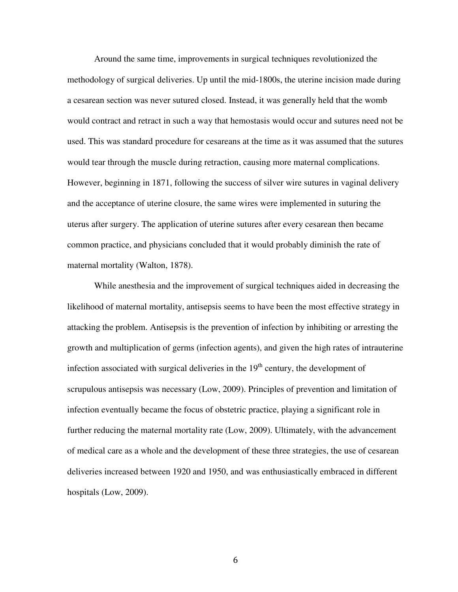Around the same time, improvements in surgical techniques revolutionized the methodology of surgical deliveries. Up until the mid-1800s, the uterine incision made during a cesarean section was never sutured closed. Instead, it was generally held that the womb would contract and retract in such a way that hemostasis would occur and sutures need not be used. This was standard procedure for cesareans at the time as it was assumed that the sutures would tear through the muscle during retraction, causing more maternal complications. However, beginning in 1871, following the success of silver wire sutures in vaginal delivery and the acceptance of uterine closure, the same wires were implemented in suturing the uterus after surgery. The application of uterine sutures after every cesarean then became common practice, and physicians concluded that it would probably diminish the rate of maternal mortality (Walton, 1878).

While anesthesia and the improvement of surgical techniques aided in decreasing the likelihood of maternal mortality, antisepsis seems to have been the most effective strategy in attacking the problem. Antisepsis is the prevention of infection by inhibiting or arresting the growth and multiplication of germs (infection agents), and given the high rates of intrauterine infection associated with surgical deliveries in the  $19<sup>th</sup>$  century, the development of scrupulous antisepsis was necessary (Low, 2009). Principles of prevention and limitation of infection eventually became the focus of obstetric practice, playing a significant role in further reducing the maternal mortality rate (Low, 2009). Ultimately, with the advancement of medical care as a whole and the development of these three strategies, the use of cesarean deliveries increased between 1920 and 1950, and was enthusiastically embraced in different hospitals (Low, 2009).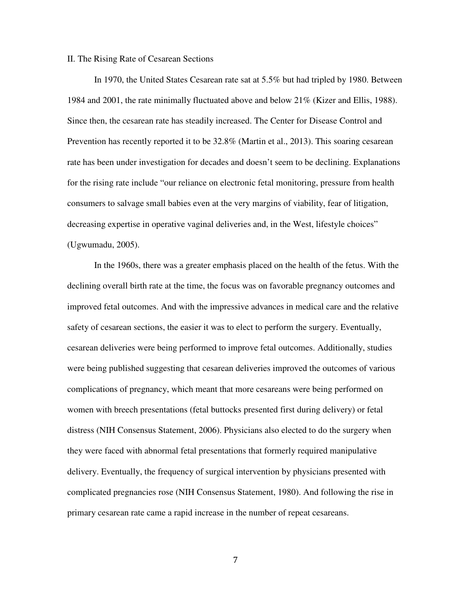#### II. The Rising Rate of Cesarean Sections

In 1970, the United States Cesarean rate sat at 5.5% but had tripled by 1980. Between 1984 and 2001, the rate minimally fluctuated above and below 21% (Kizer and Ellis, 1988). Since then, the cesarean rate has steadily increased. The Center for Disease Control and Prevention has recently reported it to be 32.8% (Martin et al., 2013). This soaring cesarean rate has been under investigation for decades and doesn't seem to be declining. Explanations for the rising rate include "our reliance on electronic fetal monitoring, pressure from health consumers to salvage small babies even at the very margins of viability, fear of litigation, decreasing expertise in operative vaginal deliveries and, in the West, lifestyle choices" (Ugwumadu, 2005).

In the 1960s, there was a greater emphasis placed on the health of the fetus. With the declining overall birth rate at the time, the focus was on favorable pregnancy outcomes and improved fetal outcomes. And with the impressive advances in medical care and the relative safety of cesarean sections, the easier it was to elect to perform the surgery. Eventually, cesarean deliveries were being performed to improve fetal outcomes. Additionally, studies were being published suggesting that cesarean deliveries improved the outcomes of various complications of pregnancy, which meant that more cesareans were being performed on women with breech presentations (fetal buttocks presented first during delivery) or fetal distress (NIH Consensus Statement, 2006). Physicians also elected to do the surgery when they were faced with abnormal fetal presentations that formerly required manipulative delivery. Eventually, the frequency of surgical intervention by physicians presented with complicated pregnancies rose (NIH Consensus Statement, 1980). And following the rise in primary cesarean rate came a rapid increase in the number of repeat cesareans.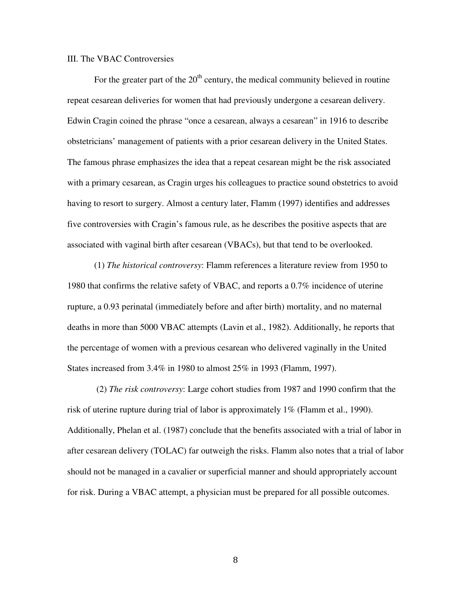#### III. The VBAC Controversies

For the greater part of the  $20<sup>th</sup>$  century, the medical community believed in routine repeat cesarean deliveries for women that had previously undergone a cesarean delivery. Edwin Cragin coined the phrase "once a cesarean, always a cesarean" in 1916 to describe obstetricians' management of patients with a prior cesarean delivery in the United States. The famous phrase emphasizes the idea that a repeat cesarean might be the risk associated with a primary cesarean, as Cragin urges his colleagues to practice sound obstetrics to avoid having to resort to surgery. Almost a century later, Flamm (1997) identifies and addresses five controversies with Cragin's famous rule, as he describes the positive aspects that are associated with vaginal birth after cesarean (VBACs), but that tend to be overlooked.

(1) *The historical controversy*: Flamm references a literature review from 1950 to 1980 that confirms the relative safety of VBAC, and reports a 0.7% incidence of uterine rupture, a 0.93 perinatal (immediately before and after birth) mortality, and no maternal deaths in more than 5000 VBAC attempts (Lavin et al., 1982). Additionally, he reports that the percentage of women with a previous cesarean who delivered vaginally in the United States increased from 3.4% in 1980 to almost 25% in 1993 (Flamm, 1997).

 (2) *The risk controversy*: Large cohort studies from 1987 and 1990 confirm that the risk of uterine rupture during trial of labor is approximately 1% (Flamm et al., 1990). Additionally, Phelan et al. (1987) conclude that the benefits associated with a trial of labor in after cesarean delivery (TOLAC) far outweigh the risks. Flamm also notes that a trial of labor should not be managed in a cavalier or superficial manner and should appropriately account for risk. During a VBAC attempt, a physician must be prepared for all possible outcomes.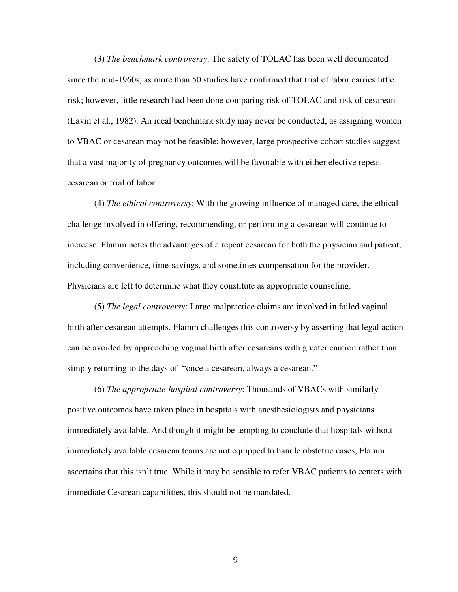(3) *The benchmark controversy*: The safety of TOLAC has been well documented since the mid-1960s, as more than 50 studies have confirmed that trial of labor carries little risk; however, little research had been done comparing risk of TOLAC and risk of cesarean (Lavin et al., 1982). An ideal benchmark study may never be conducted, as assigning women to VBAC or cesarean may not be feasible; however, large prospective cohort studies suggest that a vast majority of pregnancy outcomes will be favorable with either elective repeat cesarean or trial of labor.

(4) *The ethical controversy*: With the growing influence of managed care, the ethical challenge involved in offering, recommending, or performing a cesarean will continue to increase. Flamm notes the advantages of a repeat cesarean for both the physician and patient, including convenience, time-savings, and sometimes compensation for the provider. Physicians are left to determine what they constitute as appropriate counseling.

(5) *The legal controversy*: Large malpractice claims are involved in failed vaginal birth after cesarean attempts. Flamm challenges this controversy by asserting that legal action can be avoided by approaching vaginal birth after cesareans with greater caution rather than simply returning to the days of "once a cesarean, always a cesarean."

(6) *The appropriate-hospital controversy*: Thousands of VBACs with similarly positive outcomes have taken place in hospitals with anesthesiologists and physicians immediately available. And though it might be tempting to conclude that hospitals without immediately available cesarean teams are not equipped to handle obstetric cases, Flamm ascertains that this isn't true. While it may be sensible to refer VBAC patients to centers with immediate Cesarean capabilities, this should not be mandated.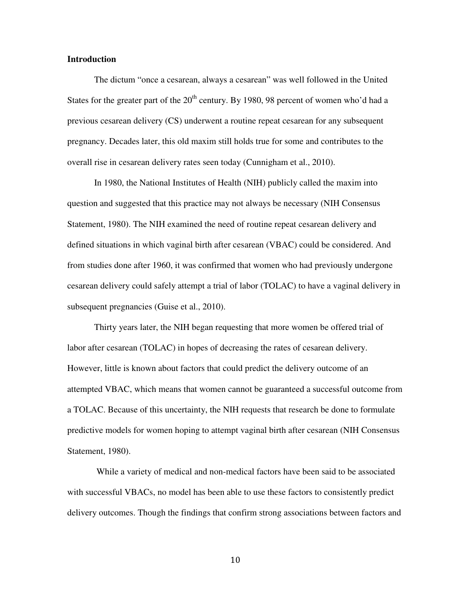### **Introduction**

The dictum "once a cesarean, always a cesarean" was well followed in the United States for the greater part of the  $20<sup>th</sup>$  century. By 1980, 98 percent of women who'd had a previous cesarean delivery (CS) underwent a routine repeat cesarean for any subsequent pregnancy. Decades later, this old maxim still holds true for some and contributes to the overall rise in cesarean delivery rates seen today (Cunnigham et al., 2010).

In 1980, the National Institutes of Health (NIH) publicly called the maxim into question and suggested that this practice may not always be necessary (NIH Consensus Statement, 1980). The NIH examined the need of routine repeat cesarean delivery and defined situations in which vaginal birth after cesarean (VBAC) could be considered. And from studies done after 1960, it was confirmed that women who had previously undergone cesarean delivery could safely attempt a trial of labor (TOLAC) to have a vaginal delivery in subsequent pregnancies (Guise et al., 2010).

Thirty years later, the NIH began requesting that more women be offered trial of labor after cesarean (TOLAC) in hopes of decreasing the rates of cesarean delivery. However, little is known about factors that could predict the delivery outcome of an attempted VBAC, which means that women cannot be guaranteed a successful outcome from a TOLAC. Because of this uncertainty, the NIH requests that research be done to formulate predictive models for women hoping to attempt vaginal birth after cesarean (NIH Consensus Statement, 1980).

 While a variety of medical and non-medical factors have been said to be associated with successful VBACs, no model has been able to use these factors to consistently predict delivery outcomes. Though the findings that confirm strong associations between factors and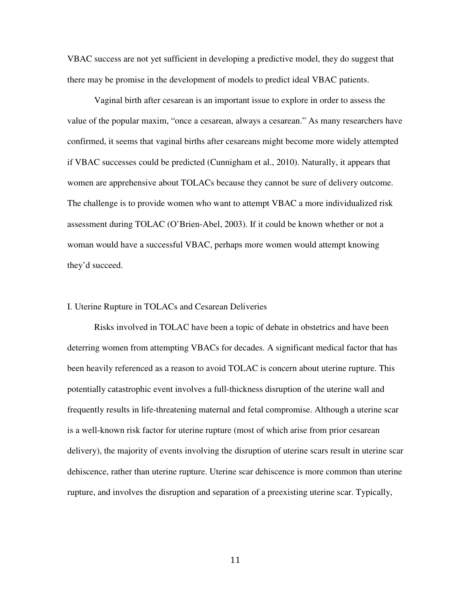VBAC success are not yet sufficient in developing a predictive model, they do suggest that there may be promise in the development of models to predict ideal VBAC patients.

Vaginal birth after cesarean is an important issue to explore in order to assess the value of the popular maxim, "once a cesarean, always a cesarean." As many researchers have confirmed, it seems that vaginal births after cesareans might become more widely attempted if VBAC successes could be predicted (Cunnigham et al., 2010). Naturally, it appears that women are apprehensive about TOLACs because they cannot be sure of delivery outcome. The challenge is to provide women who want to attempt VBAC a more individualized risk assessment during TOLAC (O'Brien-Abel, 2003). If it could be known whether or not a woman would have a successful VBAC, perhaps more women would attempt knowing they'd succeed.

#### I. Uterine Rupture in TOLACs and Cesarean Deliveries

Risks involved in TOLAC have been a topic of debate in obstetrics and have been deterring women from attempting VBACs for decades. A significant medical factor that has been heavily referenced as a reason to avoid TOLAC is concern about uterine rupture. This potentially catastrophic event involves a full-thickness disruption of the uterine wall and frequently results in life-threatening maternal and fetal compromise. Although a uterine scar is a well-known risk factor for uterine rupture (most of which arise from prior cesarean delivery), the majority of events involving the disruption of uterine scars result in uterine scar dehiscence, rather than uterine rupture. Uterine scar dehiscence is more common than uterine rupture, and involves the disruption and separation of a preexisting uterine scar. Typically,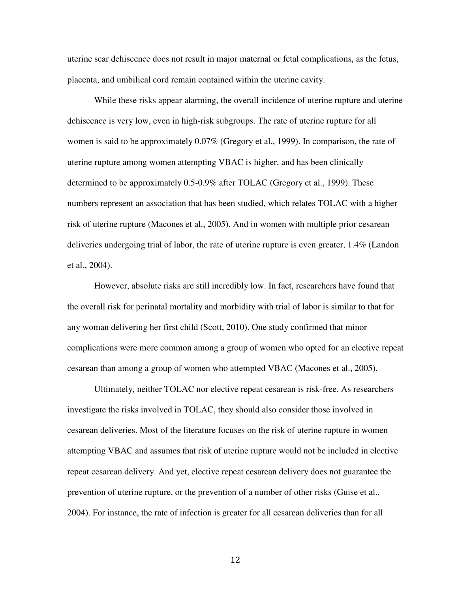uterine scar dehiscence does not result in major maternal or fetal complications, as the fetus, placenta, and umbilical cord remain contained within the uterine cavity.

While these risks appear alarming, the overall incidence of uterine rupture and uterine dehiscence is very low, even in high-risk subgroups. The rate of uterine rupture for all women is said to be approximately 0.07% (Gregory et al., 1999). In comparison, the rate of uterine rupture among women attempting VBAC is higher, and has been clinically determined to be approximately 0.5-0.9% after TOLAC (Gregory et al., 1999). These numbers represent an association that has been studied, which relates TOLAC with a higher risk of uterine rupture (Macones et al., 2005). And in women with multiple prior cesarean deliveries undergoing trial of labor, the rate of uterine rupture is even greater, 1.4% (Landon et al., 2004).

However, absolute risks are still incredibly low. In fact, researchers have found that the overall risk for perinatal mortality and morbidity with trial of labor is similar to that for any woman delivering her first child (Scott, 2010). One study confirmed that minor complications were more common among a group of women who opted for an elective repeat cesarean than among a group of women who attempted VBAC (Macones et al., 2005).

Ultimately, neither TOLAC nor elective repeat cesarean is risk-free. As researchers investigate the risks involved in TOLAC, they should also consider those involved in cesarean deliveries. Most of the literature focuses on the risk of uterine rupture in women attempting VBAC and assumes that risk of uterine rupture would not be included in elective repeat cesarean delivery. And yet, elective repeat cesarean delivery does not guarantee the prevention of uterine rupture, or the prevention of a number of other risks (Guise et al., 2004). For instance, the rate of infection is greater for all cesarean deliveries than for all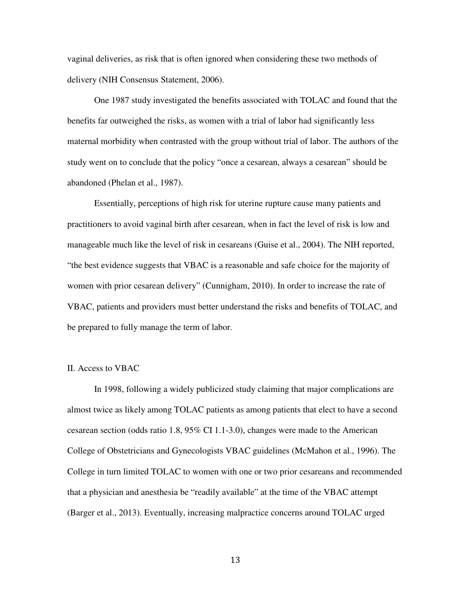vaginal deliveries, as risk that is often ignored when considering these two methods of delivery (NIH Consensus Statement, 2006).

One 1987 study investigated the benefits associated with TOLAC and found that the benefits far outweighed the risks, as women with a trial of labor had significantly less maternal morbidity when contrasted with the group without trial of labor. The authors of the study went on to conclude that the policy "once a cesarean, always a cesarean" should be abandoned (Phelan et al., 1987).

Essentially, perceptions of high risk for uterine rupture cause many patients and practitioners to avoid vaginal birth after cesarean, when in fact the level of risk is low and manageable much like the level of risk in cesareans (Guise et al., 2004). The NIH reported, "the best evidence suggests that VBAC is a reasonable and safe choice for the majority of women with prior cesarean delivery" (Cunnigham, 2010). In order to increase the rate of VBAC, patients and providers must better understand the risks and benefits of TOLAC, and be prepared to fully manage the term of labor.

#### II. Access to VBAC

 In 1998, following a widely publicized study claiming that major complications are almost twice as likely among TOLAC patients as among patients that elect to have a second cesarean section (odds ratio 1.8, 95% CI 1.1-3.0), changes were made to the American College of Obstetricians and Gynecologists VBAC guidelines (McMahon et al., 1996). The College in turn limited TOLAC to women with one or two prior cesareans and recommended that a physician and anesthesia be "readily available" at the time of the VBAC attempt (Barger et al., 2013). Eventually, increasing malpractice concerns around TOLAC urged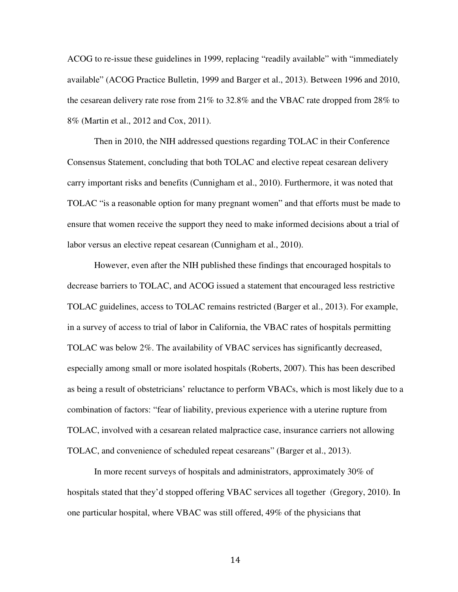ACOG to re-issue these guidelines in 1999, replacing "readily available" with "immediately available" (ACOG Practice Bulletin, 1999 and Barger et al., 2013). Between 1996 and 2010, the cesarean delivery rate rose from 21% to 32.8% and the VBAC rate dropped from 28% to 8% (Martin et al., 2012 and Cox, 2011).

 Then in 2010, the NIH addressed questions regarding TOLAC in their Conference Consensus Statement, concluding that both TOLAC and elective repeat cesarean delivery carry important risks and benefits (Cunnigham et al., 2010). Furthermore, it was noted that TOLAC "is a reasonable option for many pregnant women" and that efforts must be made to ensure that women receive the support they need to make informed decisions about a trial of labor versus an elective repeat cesarean (Cunnigham et al., 2010).

 However, even after the NIH published these findings that encouraged hospitals to decrease barriers to TOLAC, and ACOG issued a statement that encouraged less restrictive TOLAC guidelines, access to TOLAC remains restricted (Barger et al., 2013). For example, in a survey of access to trial of labor in California, the VBAC rates of hospitals permitting TOLAC was below 2%. The availability of VBAC services has significantly decreased, especially among small or more isolated hospitals (Roberts, 2007). This has been described as being a result of obstetricians' reluctance to perform VBACs, which is most likely due to a combination of factors: "fear of liability, previous experience with a uterine rupture from TOLAC, involved with a cesarean related malpractice case, insurance carriers not allowing TOLAC, and convenience of scheduled repeat cesareans" (Barger et al., 2013).

 In more recent surveys of hospitals and administrators, approximately 30% of hospitals stated that they'd stopped offering VBAC services all together (Gregory, 2010). In one particular hospital, where VBAC was still offered, 49% of the physicians that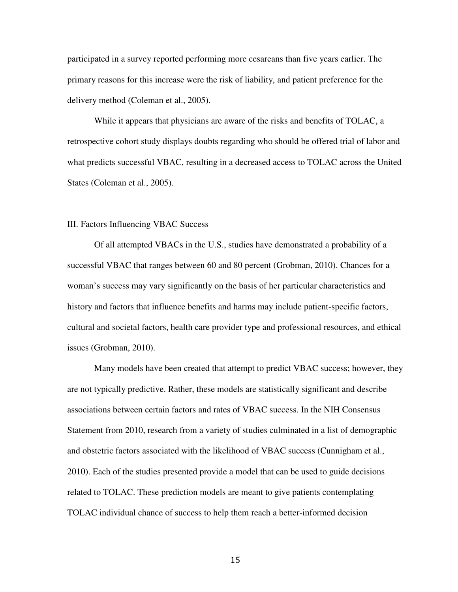participated in a survey reported performing more cesareans than five years earlier. The primary reasons for this increase were the risk of liability, and patient preference for the delivery method (Coleman et al., 2005).

 While it appears that physicians are aware of the risks and benefits of TOLAC, a retrospective cohort study displays doubts regarding who should be offered trial of labor and what predicts successful VBAC, resulting in a decreased access to TOLAC across the United States (Coleman et al., 2005).

### III. Factors Influencing VBAC Success

Of all attempted VBACs in the U.S., studies have demonstrated a probability of a successful VBAC that ranges between 60 and 80 percent (Grobman, 2010). Chances for a woman's success may vary significantly on the basis of her particular characteristics and history and factors that influence benefits and harms may include patient-specific factors, cultural and societal factors, health care provider type and professional resources, and ethical issues (Grobman, 2010).

Many models have been created that attempt to predict VBAC success; however, they are not typically predictive. Rather, these models are statistically significant and describe associations between certain factors and rates of VBAC success. In the NIH Consensus Statement from 2010, research from a variety of studies culminated in a list of demographic and obstetric factors associated with the likelihood of VBAC success (Cunnigham et al., 2010). Each of the studies presented provide a model that can be used to guide decisions related to TOLAC. These prediction models are meant to give patients contemplating TOLAC individual chance of success to help them reach a better-informed decision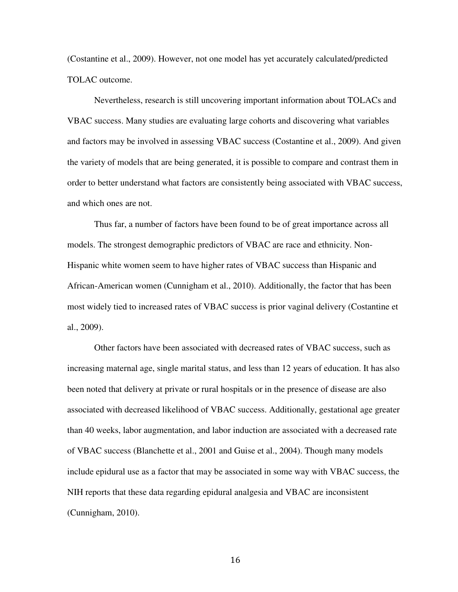(Costantine et al., 2009). However, not one model has yet accurately calculated/predicted TOLAC outcome.

Nevertheless, research is still uncovering important information about TOLACs and VBAC success. Many studies are evaluating large cohorts and discovering what variables and factors may be involved in assessing VBAC success (Costantine et al., 2009). And given the variety of models that are being generated, it is possible to compare and contrast them in order to better understand what factors are consistently being associated with VBAC success, and which ones are not.

Thus far, a number of factors have been found to be of great importance across all models. The strongest demographic predictors of VBAC are race and ethnicity. Non-Hispanic white women seem to have higher rates of VBAC success than Hispanic and African-American women (Cunnigham et al., 2010). Additionally, the factor that has been most widely tied to increased rates of VBAC success is prior vaginal delivery (Costantine et al., 2009).

Other factors have been associated with decreased rates of VBAC success, such as increasing maternal age, single marital status, and less than 12 years of education. It has also been noted that delivery at private or rural hospitals or in the presence of disease are also associated with decreased likelihood of VBAC success. Additionally, gestational age greater than 40 weeks, labor augmentation, and labor induction are associated with a decreased rate of VBAC success (Blanchette et al., 2001 and Guise et al., 2004). Though many models include epidural use as a factor that may be associated in some way with VBAC success, the NIH reports that these data regarding epidural analgesia and VBAC are inconsistent (Cunnigham, 2010).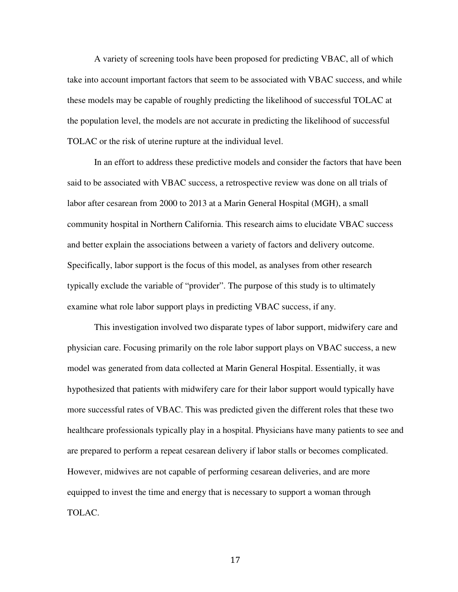A variety of screening tools have been proposed for predicting VBAC, all of which take into account important factors that seem to be associated with VBAC success, and while these models may be capable of roughly predicting the likelihood of successful TOLAC at the population level, the models are not accurate in predicting the likelihood of successful TOLAC or the risk of uterine rupture at the individual level.

In an effort to address these predictive models and consider the factors that have been said to be associated with VBAC success, a retrospective review was done on all trials of labor after cesarean from 2000 to 2013 at a Marin General Hospital (MGH), a small community hospital in Northern California. This research aims to elucidate VBAC success and better explain the associations between a variety of factors and delivery outcome. Specifically, labor support is the focus of this model, as analyses from other research typically exclude the variable of "provider". The purpose of this study is to ultimately examine what role labor support plays in predicting VBAC success, if any.

This investigation involved two disparate types of labor support, midwifery care and physician care. Focusing primarily on the role labor support plays on VBAC success, a new model was generated from data collected at Marin General Hospital. Essentially, it was hypothesized that patients with midwifery care for their labor support would typically have more successful rates of VBAC. This was predicted given the different roles that these two healthcare professionals typically play in a hospital. Physicians have many patients to see and are prepared to perform a repeat cesarean delivery if labor stalls or becomes complicated. However, midwives are not capable of performing cesarean deliveries, and are more equipped to invest the time and energy that is necessary to support a woman through TOLAC.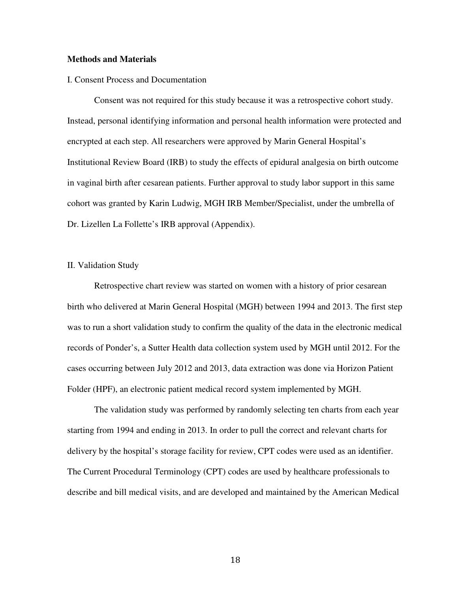### **Methods and Materials**

#### I. Consent Process and Documentation

 Consent was not required for this study because it was a retrospective cohort study. Instead, personal identifying information and personal health information were protected and encrypted at each step. All researchers were approved by Marin General Hospital's Institutional Review Board (IRB) to study the effects of epidural analgesia on birth outcome in vaginal birth after cesarean patients. Further approval to study labor support in this same cohort was granted by Karin Ludwig, MGH IRB Member/Specialist, under the umbrella of Dr. Lizellen La Follette's IRB approval (Appendix).

### II. Validation Study

 Retrospective chart review was started on women with a history of prior cesarean birth who delivered at Marin General Hospital (MGH) between 1994 and 2013. The first step was to run a short validation study to confirm the quality of the data in the electronic medical records of Ponder's, a Sutter Health data collection system used by MGH until 2012. For the cases occurring between July 2012 and 2013, data extraction was done via Horizon Patient Folder (HPF), an electronic patient medical record system implemented by MGH.

The validation study was performed by randomly selecting ten charts from each year starting from 1994 and ending in 2013. In order to pull the correct and relevant charts for delivery by the hospital's storage facility for review, CPT codes were used as an identifier. The Current Procedural Terminology (CPT) codes are used by healthcare professionals to describe and bill medical visits, and are developed and maintained by the American Medical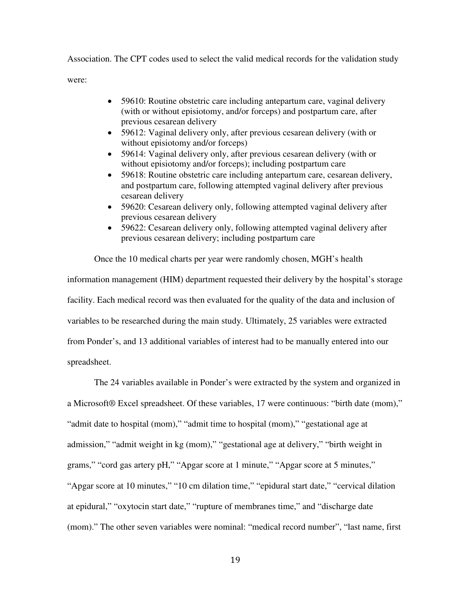Association. The CPT codes used to select the valid medical records for the validation study were:

- 59610: Routine obstetric care including antepartum care, vaginal delivery (with or without episiotomy, and/or forceps) and postpartum care, after previous cesarean delivery
- 59612: Vaginal delivery only, after previous cesarean delivery (with or without episiotomy and/or forceps)
- 59614: Vaginal delivery only, after previous cesarean delivery (with or without episiotomy and/or forceps); including postpartum care
- 59618: Routine obstetric care including antepartum care, cesarean delivery, and postpartum care, following attempted vaginal delivery after previous cesarean delivery
- 59620: Cesarean delivery only, following attempted vaginal delivery after previous cesarean delivery
- 59622: Cesarean delivery only, following attempted vaginal delivery after previous cesarean delivery; including postpartum care

Once the 10 medical charts per year were randomly chosen, MGH's health information management (HIM) department requested their delivery by the hospital's storage facility. Each medical record was then evaluated for the quality of the data and inclusion of variables to be researched during the main study. Ultimately, 25 variables were extracted from Ponder's, and 13 additional variables of interest had to be manually entered into our spreadsheet.

The 24 variables available in Ponder's were extracted by the system and organized in a Microsoft® Excel spreadsheet. Of these variables, 17 were continuous: "birth date (mom)," "admit date to hospital (mom)," "admit time to hospital (mom)," "gestational age at admission," "admit weight in kg (mom)," "gestational age at delivery," "birth weight in grams," "cord gas artery pH," "Apgar score at 1 minute," "Apgar score at 5 minutes," "Apgar score at 10 minutes," "10 cm dilation time," "epidural start date," "cervical dilation at epidural," "oxytocin start date," "rupture of membranes time," and "discharge date (mom)." The other seven variables were nominal: "medical record number", "last name, first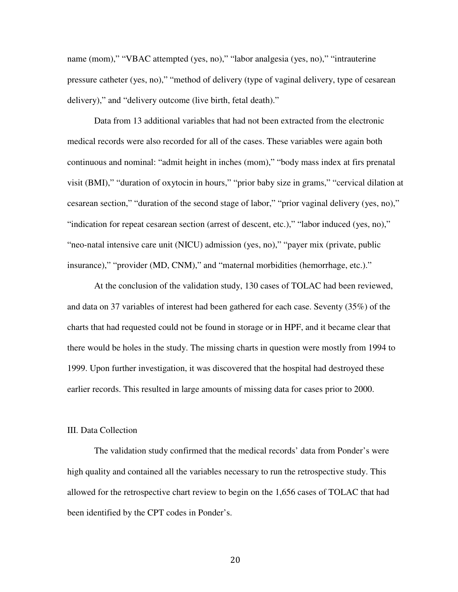name (mom)," "VBAC attempted (yes, no)," "labor analgesia (yes, no)," "intrauterine pressure catheter (yes, no)," "method of delivery (type of vaginal delivery, type of cesarean delivery)," and "delivery outcome (live birth, fetal death)."

Data from 13 additional variables that had not been extracted from the electronic medical records were also recorded for all of the cases. These variables were again both continuous and nominal: "admit height in inches (mom)," "body mass index at firs prenatal visit (BMI)," "duration of oxytocin in hours," "prior baby size in grams," "cervical dilation at cesarean section," "duration of the second stage of labor," "prior vaginal delivery (yes, no)," "indication for repeat cesarean section (arrest of descent, etc.)," "labor induced (yes, no)," "neo-natal intensive care unit (NICU) admission (yes, no)," "payer mix (private, public insurance)," "provider (MD, CNM)," and "maternal morbidities (hemorrhage, etc.)."

 At the conclusion of the validation study, 130 cases of TOLAC had been reviewed, and data on 37 variables of interest had been gathered for each case. Seventy (35%) of the charts that had requested could not be found in storage or in HPF, and it became clear that there would be holes in the study. The missing charts in question were mostly from 1994 to 1999. Upon further investigation, it was discovered that the hospital had destroyed these earlier records. This resulted in large amounts of missing data for cases prior to 2000.

#### III. Data Collection

The validation study confirmed that the medical records' data from Ponder's were high quality and contained all the variables necessary to run the retrospective study. This allowed for the retrospective chart review to begin on the 1,656 cases of TOLAC that had been identified by the CPT codes in Ponder's.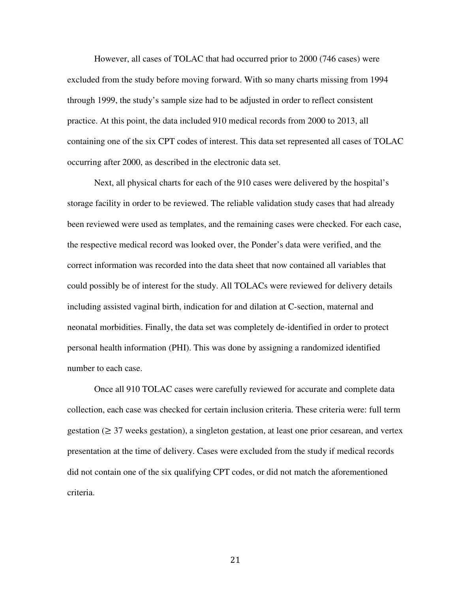However, all cases of TOLAC that had occurred prior to 2000 (746 cases) were excluded from the study before moving forward. With so many charts missing from 1994 through 1999, the study's sample size had to be adjusted in order to reflect consistent practice. At this point, the data included 910 medical records from 2000 to 2013, all containing one of the six CPT codes of interest. This data set represented all cases of TOLAC occurring after 2000, as described in the electronic data set.

Next, all physical charts for each of the 910 cases were delivered by the hospital's storage facility in order to be reviewed. The reliable validation study cases that had already been reviewed were used as templates, and the remaining cases were checked. For each case, the respective medical record was looked over, the Ponder's data were verified, and the correct information was recorded into the data sheet that now contained all variables that could possibly be of interest for the study. All TOLACs were reviewed for delivery details including assisted vaginal birth, indication for and dilation at C-section, maternal and neonatal morbidities. Finally, the data set was completely de-identified in order to protect personal health information (PHI). This was done by assigning a randomized identified number to each case.

Once all 910 TOLAC cases were carefully reviewed for accurate and complete data collection, each case was checked for certain inclusion criteria. These criteria were: full term gestation ( $\geq$  37 weeks gestation), a singleton gestation, at least one prior cesarean, and vertex presentation at the time of delivery. Cases were excluded from the study if medical records did not contain one of the six qualifying CPT codes, or did not match the aforementioned criteria.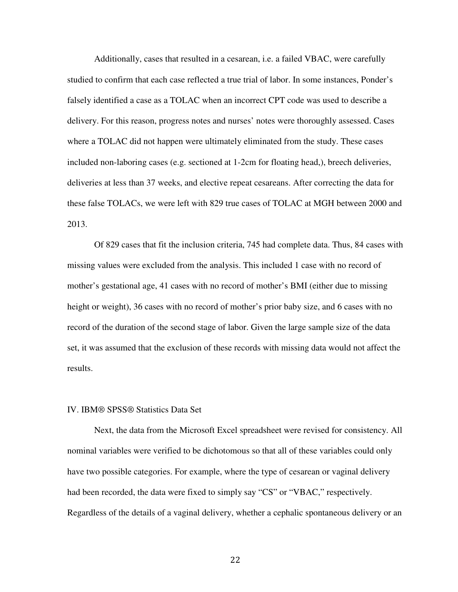Additionally, cases that resulted in a cesarean, i.e. a failed VBAC, were carefully studied to confirm that each case reflected a true trial of labor. In some instances, Ponder's falsely identified a case as a TOLAC when an incorrect CPT code was used to describe a delivery. For this reason, progress notes and nurses' notes were thoroughly assessed. Cases where a TOLAC did not happen were ultimately eliminated from the study. These cases included non-laboring cases (e.g. sectioned at 1-2cm for floating head,), breech deliveries, deliveries at less than 37 weeks, and elective repeat cesareans. After correcting the data for these false TOLACs, we were left with 829 true cases of TOLAC at MGH between 2000 and 2013.

Of 829 cases that fit the inclusion criteria, 745 had complete data. Thus, 84 cases with missing values were excluded from the analysis. This included 1 case with no record of mother's gestational age, 41 cases with no record of mother's BMI (either due to missing height or weight), 36 cases with no record of mother's prior baby size, and 6 cases with no record of the duration of the second stage of labor. Given the large sample size of the data set, it was assumed that the exclusion of these records with missing data would not affect the results.

#### IV. IBM® SPSS® Statistics Data Set

Next, the data from the Microsoft Excel spreadsheet were revised for consistency. All nominal variables were verified to be dichotomous so that all of these variables could only have two possible categories. For example, where the type of cesarean or vaginal delivery had been recorded, the data were fixed to simply say "CS" or "VBAC," respectively. Regardless of the details of a vaginal delivery, whether a cephalic spontaneous delivery or an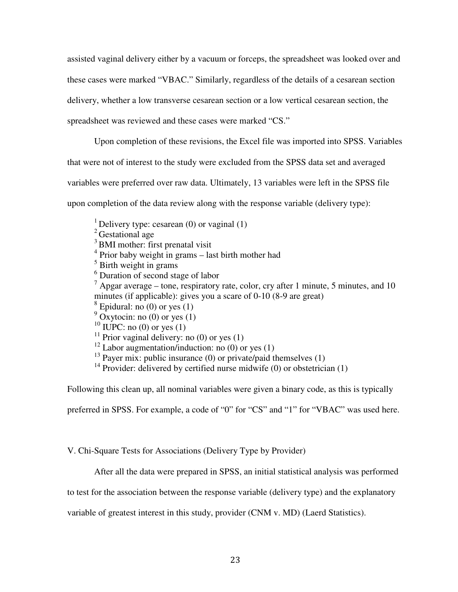assisted vaginal delivery either by a vacuum or forceps, the spreadsheet was looked over and these cases were marked "VBAC." Similarly, regardless of the details of a cesarean section delivery, whether a low transverse cesarean section or a low vertical cesarean section, the spreadsheet was reviewed and these cases were marked "CS."

Upon completion of these revisions, the Excel file was imported into SPSS. Variables

that were not of interest to the study were excluded from the SPSS data set and averaged

variables were preferred over raw data. Ultimately, 13 variables were left in the SPSS file

upon completion of the data review along with the response variable (delivery type):

- <sup>1</sup> Delivery type: cesarean (0) or vaginal (1)
- <sup>2</sup> Gestational age
- $3$  BMI mother: first prenatal visit
- <sup>4</sup> Prior baby weight in grams last birth mother had
- <sup>5</sup> Birth weight in grams
- 6 Duration of second stage of labor
- $<sup>7</sup>$  Apgar average tone, respiratory rate, color, cry after 1 minute, 5 minutes, and 10</sup> minutes (if applicable): gives you a scare of 0-10 (8-9 are great)
- $<sup>8</sup>$  Epidural: no (0) or yes (1)</sup>
- $9^9$  Oxytocin: no (0) or yes (1)
- $10$  IUPC: no (0) or yes (1)
- <sup>11</sup> Prior vaginal delivery: no  $(0)$  or yes  $(1)$
- $12$  Labor augmentation/induction: no (0) or yes (1)
- <sup>13</sup> Payer mix: public insurance (0) or private/paid themselves (1)
- <sup>14</sup> Provider: delivered by certified nurse midwife (0) or obstetrician (1)

Following this clean up, all nominal variables were given a binary code, as this is typically

preferred in SPSS. For example, a code of "0" for "CS" and "1" for "VBAC" was used here.

V. Chi-Square Tests for Associations (Delivery Type by Provider)

After all the data were prepared in SPSS, an initial statistical analysis was performed

to test for the association between the response variable (delivery type) and the explanatory

variable of greatest interest in this study, provider (CNM v. MD) (Laerd Statistics).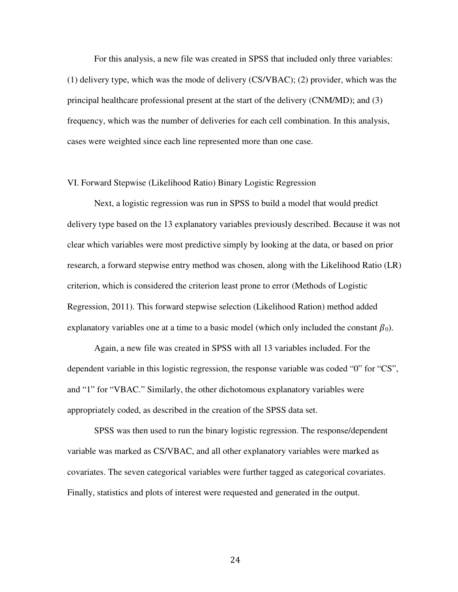For this analysis, a new file was created in SPSS that included only three variables: (1) delivery type, which was the mode of delivery (CS/VBAC); (2) provider, which was the principal healthcare professional present at the start of the delivery (CNM/MD); and (3) frequency, which was the number of deliveries for each cell combination. In this analysis, cases were weighted since each line represented more than one case.

#### VI. Forward Stepwise (Likelihood Ratio) Binary Logistic Regression

 Next, a logistic regression was run in SPSS to build a model that would predict delivery type based on the 13 explanatory variables previously described. Because it was not clear which variables were most predictive simply by looking at the data, or based on prior research, a forward stepwise entry method was chosen, along with the Likelihood Ratio (LR) criterion, which is considered the criterion least prone to error (Methods of Logistic Regression, 2011). This forward stepwise selection (Likelihood Ration) method added explanatory variables one at a time to a basic model (which only included the constant  $\beta_0$ ).

 Again, a new file was created in SPSS with all 13 variables included. For the dependent variable in this logistic regression, the response variable was coded "0" for "CS", and "1" for "VBAC." Similarly, the other dichotomous explanatory variables were appropriately coded, as described in the creation of the SPSS data set.

 SPSS was then used to run the binary logistic regression. The response/dependent variable was marked as CS/VBAC, and all other explanatory variables were marked as covariates. The seven categorical variables were further tagged as categorical covariates. Finally, statistics and plots of interest were requested and generated in the output.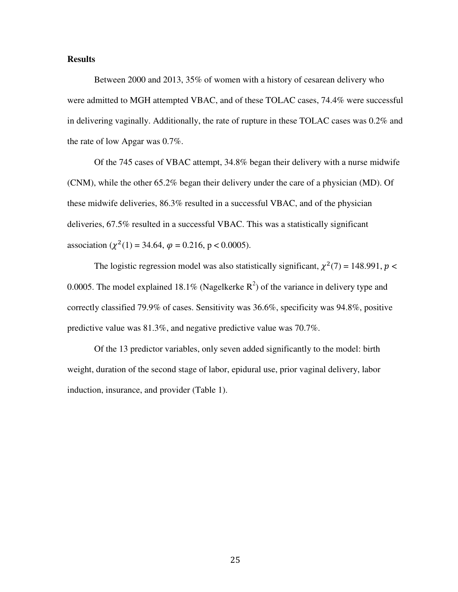#### **Results**

Between 2000 and 2013, 35% of women with a history of cesarean delivery who were admitted to MGH attempted VBAC, and of these TOLAC cases, 74.4% were successful in delivering vaginally. Additionally, the rate of rupture in these TOLAC cases was 0.2% and the rate of low Apgar was 0.7%.

Of the 745 cases of VBAC attempt, 34.8% began their delivery with a nurse midwife (CNM), while the other 65.2% began their delivery under the care of a physician (MD). Of these midwife deliveries, 86.3% resulted in a successful VBAC, and of the physician deliveries, 67.5% resulted in a successful VBAC. This was a statistically significant association ( $\chi^2(1) = 34.64$ ,  $\varphi = 0.216$ , p < 0.0005).

The logistic regression model was also statistically significant,  $\chi^2(7) = 148.991$ ,  $p <$ 0.0005. The model explained 18.1% (Nagelkerke  $R^2$ ) of the variance in delivery type and correctly classified 79.9% of cases. Sensitivity was 36.6%, specificity was 94.8%, positive predictive value was 81.3%, and negative predictive value was 70.7%.

Of the 13 predictor variables, only seven added significantly to the model: birth weight, duration of the second stage of labor, epidural use, prior vaginal delivery, labor induction, insurance, and provider (Table 1).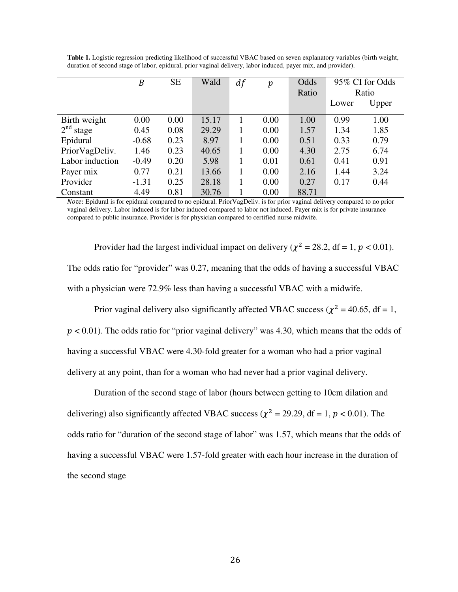|                          | $\boldsymbol{B}$ | <b>SE</b> | Wald  | df | $\boldsymbol{p}$ | Odds  | 95% CI for Odds |       |
|--------------------------|------------------|-----------|-------|----|------------------|-------|-----------------|-------|
|                          |                  |           |       |    |                  | Ratio | Ratio           |       |
|                          |                  |           |       |    |                  |       | Lower           | Upper |
| Birth weight             | 0.00             | 0.00      | 15.17 |    | 0.00             | 1.00  | 0.99            | 1.00  |
| 2 <sup>nd</sup><br>stage | 0.45             | 0.08      | 29.29 |    | 0.00             | 1.57  | 1.34            | 1.85  |
| Epidural                 | $-0.68$          | 0.23      | 8.97  |    | 0.00             | 0.51  | 0.33            | 0.79  |
| PriorVagDeliv.           | 1.46             | 0.23      | 40.65 |    | 0.00             | 4.30  | 2.75            | 6.74  |
| Labor induction          | $-0.49$          | 0.20      | 5.98  |    | 0.01             | 0.61  | 0.41            | 0.91  |
| Payer mix                | 0.77             | 0.21      | 13.66 |    | 0.00             | 2.16  | 1.44            | 3.24  |
| Provider                 | $-1.31$          | 0.25      | 28.18 |    | 0.00             | 0.27  | 0.17            | 0.44  |
| Constant                 | 4.49             | 0.81      | 30.76 |    | 0.00             | 88.71 |                 |       |

**Table 1.** Logistic regression predicting likelihood of successful VBAC based on seven explanatory variables (birth weight, duration of second stage of labor, epidural, prior vaginal delivery, labor induced, payer mix, and provider).

 
: Epidural is for epidural compared to no epidural. PriorVagDeliv. is for prior vaginal delivery compared to no prior vaginal delivery. Labor induced is for labor induced compared to labor not induced. Payer mix is for private insurance compared to public insurance. Provider is for physician compared to certified nurse midwife.

Provider had the largest individual impact on delivery ( $\chi^2 = 28.2$ , df = 1, p < 0.01). The odds ratio for "provider" was 0.27, meaning that the odds of having a successful VBAC with a physician were 72.9% less than having a successful VBAC with a midwife.

Prior vaginal delivery also significantly affected VBAC success ( $\chi^2$  = 40.65, df = 1,  $p < 0.01$ ). The odds ratio for "prior vaginal delivery" was 4.30, which means that the odds of having a successful VBAC were 4.30-fold greater for a woman who had a prior vaginal delivery at any point, than for a woman who had never had a prior vaginal delivery.

Duration of the second stage of labor (hours between getting to 10cm dilation and delivering) also significantly affected VBAC success ( $\chi^2$  = 29.29, df = 1, p < 0.01). The odds ratio for "duration of the second stage of labor" was 1.57, which means that the odds of having a successful VBAC were 1.57-fold greater with each hour increase in the duration of the second stage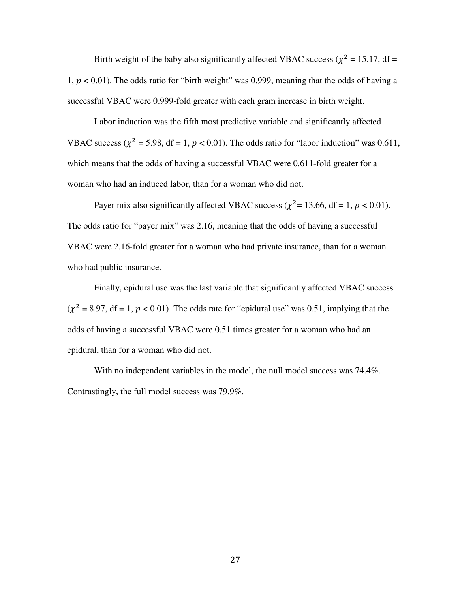Birth weight of the baby also significantly affected VBAC success ( $\chi^2 = 15.17$ , df = 1,  $p < 0.01$ ). The odds ratio for "birth weight" was 0.999, meaning that the odds of having a successful VBAC were 0.999-fold greater with each gram increase in birth weight.

Labor induction was the fifth most predictive variable and significantly affected VBAC success ( $\chi^2$  = 5.98, df = 1,  $p$  < 0.01). The odds ratio for "labor induction" was 0.611, which means that the odds of having a successful VBAC were 0.611-fold greater for a woman who had an induced labor, than for a woman who did not.

Payer mix also significantly affected VBAC success ( $\chi^2$  = 13.66, df = 1, p < 0.01). The odds ratio for "payer mix" was 2.16, meaning that the odds of having a successful VBAC were 2.16-fold greater for a woman who had private insurance, than for a woman who had public insurance.

Finally, epidural use was the last variable that significantly affected VBAC success  $(\chi^2 = 8.97, df = 1, p < 0.01)$ . The odds rate for "epidural use" was 0.51, implying that the odds of having a successful VBAC were 0.51 times greater for a woman who had an epidural, than for a woman who did not.

With no independent variables in the model, the null model success was 74.4%. Contrastingly, the full model success was 79.9%.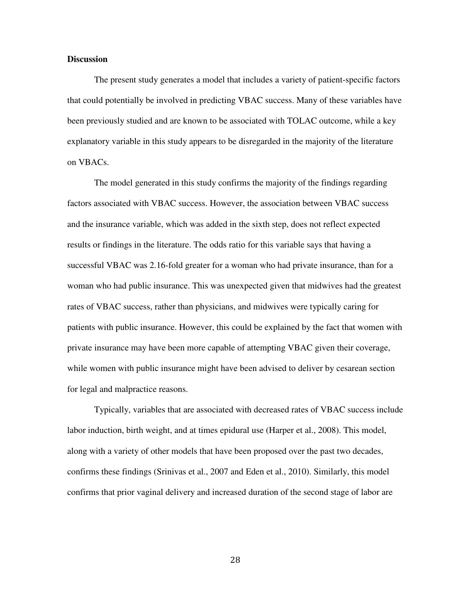#### **Discussion**

The present study generates a model that includes a variety of patient-specific factors that could potentially be involved in predicting VBAC success. Many of these variables have been previously studied and are known to be associated with TOLAC outcome, while a key explanatory variable in this study appears to be disregarded in the majority of the literature on VBACs.

The model generated in this study confirms the majority of the findings regarding factors associated with VBAC success. However, the association between VBAC success and the insurance variable, which was added in the sixth step, does not reflect expected results or findings in the literature. The odds ratio for this variable says that having a successful VBAC was 2.16-fold greater for a woman who had private insurance, than for a woman who had public insurance. This was unexpected given that midwives had the greatest rates of VBAC success, rather than physicians, and midwives were typically caring for patients with public insurance. However, this could be explained by the fact that women with private insurance may have been more capable of attempting VBAC given their coverage, while women with public insurance might have been advised to deliver by cesarean section for legal and malpractice reasons.

Typically, variables that are associated with decreased rates of VBAC success include labor induction, birth weight, and at times epidural use (Harper et al., 2008). This model, along with a variety of other models that have been proposed over the past two decades, confirms these findings (Srinivas et al., 2007 and Eden et al., 2010). Similarly, this model confirms that prior vaginal delivery and increased duration of the second stage of labor are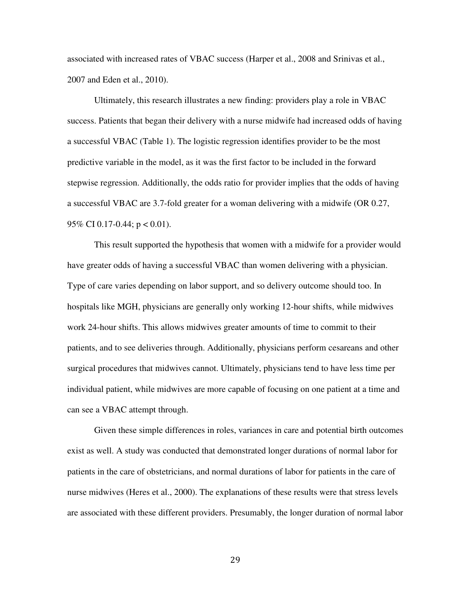associated with increased rates of VBAC success (Harper et al., 2008 and Srinivas et al., 2007 and Eden et al., 2010).

Ultimately, this research illustrates a new finding: providers play a role in VBAC success. Patients that began their delivery with a nurse midwife had increased odds of having a successful VBAC (Table 1). The logistic regression identifies provider to be the most predictive variable in the model, as it was the first factor to be included in the forward stepwise regression. Additionally, the odds ratio for provider implies that the odds of having a successful VBAC are 3.7-fold greater for a woman delivering with a midwife (OR 0.27, 95\% CI 0.17-0.44;  $p < 0.01$ ).

This result supported the hypothesis that women with a midwife for a provider would have greater odds of having a successful VBAC than women delivering with a physician. Type of care varies depending on labor support, and so delivery outcome should too. In hospitals like MGH, physicians are generally only working 12-hour shifts, while midwives work 24-hour shifts. This allows midwives greater amounts of time to commit to their patients, and to see deliveries through. Additionally, physicians perform cesareans and other surgical procedures that midwives cannot. Ultimately, physicians tend to have less time per individual patient, while midwives are more capable of focusing on one patient at a time and can see a VBAC attempt through.

Given these simple differences in roles, variances in care and potential birth outcomes exist as well. A study was conducted that demonstrated longer durations of normal labor for patients in the care of obstetricians, and normal durations of labor for patients in the care of nurse midwives (Heres et al., 2000). The explanations of these results were that stress levels are associated with these different providers. Presumably, the longer duration of normal labor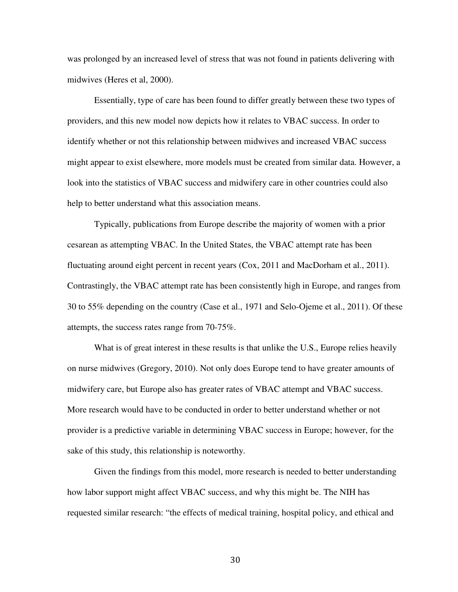was prolonged by an increased level of stress that was not found in patients delivering with midwives (Heres et al, 2000).

Essentially, type of care has been found to differ greatly between these two types of providers, and this new model now depicts how it relates to VBAC success. In order to identify whether or not this relationship between midwives and increased VBAC success might appear to exist elsewhere, more models must be created from similar data. However, a look into the statistics of VBAC success and midwifery care in other countries could also help to better understand what this association means.

Typically, publications from Europe describe the majority of women with a prior cesarean as attempting VBAC. In the United States, the VBAC attempt rate has been fluctuating around eight percent in recent years (Cox, 2011 and MacDorham et al., 2011). Contrastingly, the VBAC attempt rate has been consistently high in Europe, and ranges from 30 to 55% depending on the country (Case et al., 1971 and Selo-Ojeme et al., 2011). Of these attempts, the success rates range from 70-75%.

What is of great interest in these results is that unlike the U.S., Europe relies heavily on nurse midwives (Gregory, 2010). Not only does Europe tend to have greater amounts of midwifery care, but Europe also has greater rates of VBAC attempt and VBAC success. More research would have to be conducted in order to better understand whether or not provider is a predictive variable in determining VBAC success in Europe; however, for the sake of this study, this relationship is noteworthy.

Given the findings from this model, more research is needed to better understanding how labor support might affect VBAC success, and why this might be. The NIH has requested similar research: "the effects of medical training, hospital policy, and ethical and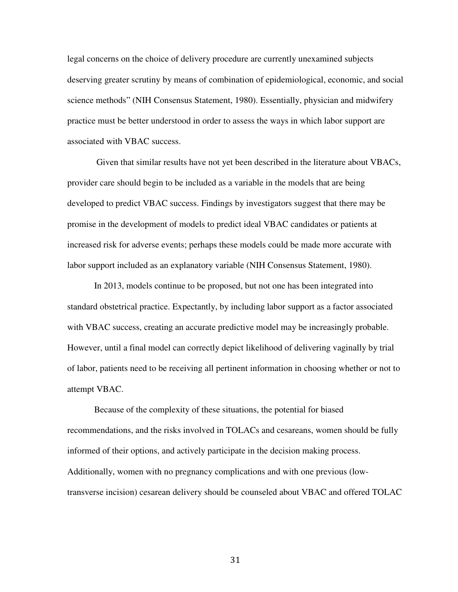legal concerns on the choice of delivery procedure are currently unexamined subjects deserving greater scrutiny by means of combination of epidemiological, economic, and social science methods" (NIH Consensus Statement, 1980). Essentially, physician and midwifery practice must be better understood in order to assess the ways in which labor support are associated with VBAC success.

 Given that similar results have not yet been described in the literature about VBACs, provider care should begin to be included as a variable in the models that are being developed to predict VBAC success. Findings by investigators suggest that there may be promise in the development of models to predict ideal VBAC candidates or patients at increased risk for adverse events; perhaps these models could be made more accurate with labor support included as an explanatory variable (NIH Consensus Statement, 1980).

In 2013, models continue to be proposed, but not one has been integrated into standard obstetrical practice. Expectantly, by including labor support as a factor associated with VBAC success, creating an accurate predictive model may be increasingly probable. However, until a final model can correctly depict likelihood of delivering vaginally by trial of labor, patients need to be receiving all pertinent information in choosing whether or not to attempt VBAC.

Because of the complexity of these situations, the potential for biased recommendations, and the risks involved in TOLACs and cesareans, women should be fully informed of their options, and actively participate in the decision making process. Additionally, women with no pregnancy complications and with one previous (lowtransverse incision) cesarean delivery should be counseled about VBAC and offered TOLAC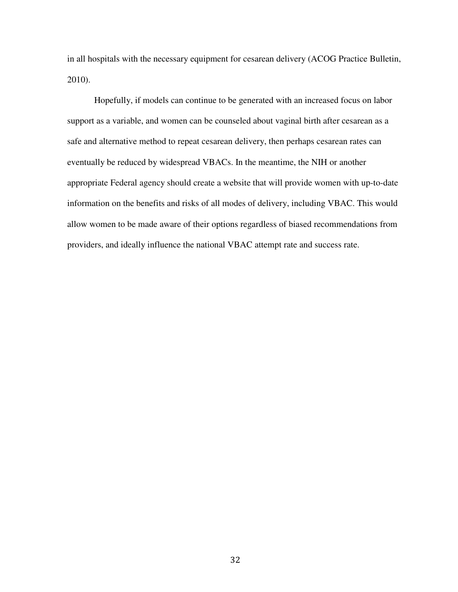in all hospitals with the necessary equipment for cesarean delivery (ACOG Practice Bulletin, 2010).

Hopefully, if models can continue to be generated with an increased focus on labor support as a variable, and women can be counseled about vaginal birth after cesarean as a safe and alternative method to repeat cesarean delivery, then perhaps cesarean rates can eventually be reduced by widespread VBACs. In the meantime, the NIH or another appropriate Federal agency should create a website that will provide women with up-to-date information on the benefits and risks of all modes of delivery, including VBAC. This would allow women to be made aware of their options regardless of biased recommendations from providers, and ideally influence the national VBAC attempt rate and success rate.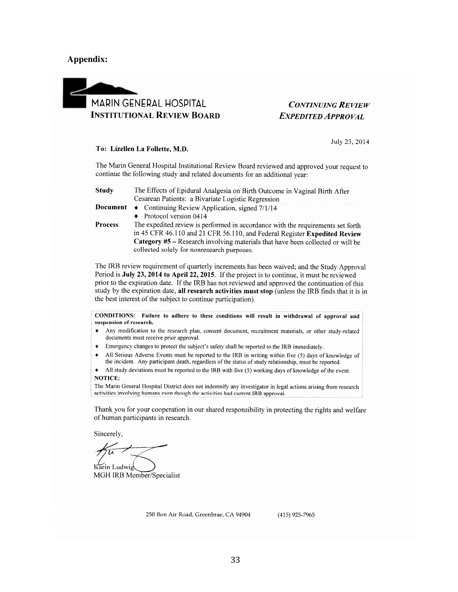#### **Appendix:**



## **CONTINUING REVIEW EXPEDITED APPROVAL**

July 23, 2014

#### To: Lizellen La Follette, M.D.

The Marin General Hospital Institutional Review Board reviewed and approved your request to continue the following study and related documents for an additional year:

| Study | The Effects of Epidural Analgesia on Birth Outcome in Vaginal Birth After |
|-------|---------------------------------------------------------------------------|
|       | Cesarean Patients: a Bivariate Logistic Regression                        |

- **Document** Continuing Review Application, signed 7/1/14
	- $\bullet$  Protocol version 0414
- Process The expedited review is performed in accordance with the requirements set forth in 45 CFR 46.110 and 21 CFR 56.110, and Federal Register Expedited Review Category #5 - Research involving materials that have been collected or will be collected solely for nonresearch purposes.

The IRB review requirement of quarterly increments has been waived; and the Study Approval Period is July 23, 2014 to April 22, 2015. If the project is to continue, it must be reviewed prior to the expiration date. If the IRB has not reviewed and approved the continuation of this study by the expiration date, all research activities must stop (unless the IRB finds that it is in the best interest of the subject to continue participation).

CONDITIONS: Failure to adhere to these conditions will result in withdrawal of approval and suspension of research.

- Any modification to the research plan, consent document, recruitment materials, or other study-related  $\bullet$ documents must receive prior approval.
- $\bullet$ Emergency changes to protect the subject's safety shall be reported to the IRB immediately.
- All Serious Adverse Events must be reported to the IRB in writing within five (5) days of knowledge of  $\blacklozenge$ the incident. Any participant death, regardless of the status of study relationship, must be reported.

All study deviations must be reported to the IRB with five (5) working days of knowledge of the event.  $\bullet$ NOTICE:

The Marin General Hospital District does not indemnify any investigator in legal actions arising from research activities involving humans even though the activities had current IRB approval.

Thank you for your cooperation in our shared responsibility in protecting the rights and welfare of human participants in research.

Sincerely.

Karin Ludwig MGH IRB Member/Specialist

250 Bon Air Road, Greenbrae, CA 94904

(415) 925-7965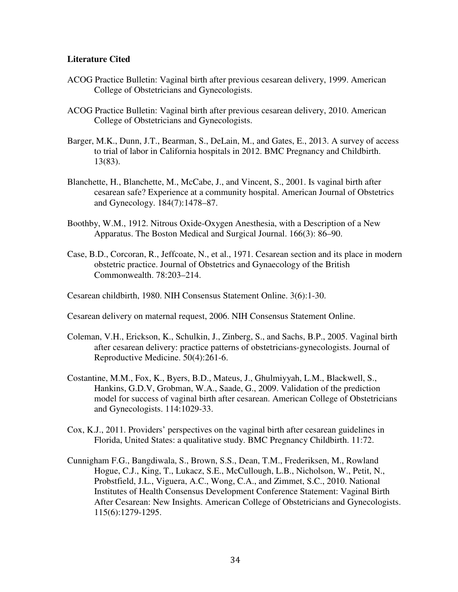## **Literature Cited**

- ACOG Practice Bulletin: Vaginal birth after previous cesarean delivery, 1999. American College of Obstetricians and Gynecologists.
- ACOG Practice Bulletin: Vaginal birth after previous cesarean delivery, 2010. American College of Obstetricians and Gynecologists.
- Barger, M.K., Dunn, J.T., Bearman, S., DeLain, M., and Gates, E., 2013. A survey of access to trial of labor in California hospitals in 2012. BMC Pregnancy and Childbirth. 13(83).
- Blanchette, H., Blanchette, M., McCabe, J., and Vincent, S., 2001. Is vaginal birth after cesarean safe? Experience at a community hospital. American Journal of Obstetrics and Gynecology. 184(7):1478–87.
- Boothby, W.M., 1912. Nitrous Oxide-Oxygen Anesthesia, with a Description of a New Apparatus. The Boston Medical and Surgical Journal. 166(3): 86–90.
- Case, B.D., Corcoran, R., Jeffcoate, N., et al., 1971. Cesarean section and its place in modern obstetric practice. Journal of Obstetrics and Gynaecology of the British Commonwealth. 78:203–214.

Cesarean childbirth, 1980. NIH Consensus Statement Online. 3(6):1-30.

Cesarean delivery on maternal request, 2006. NIH Consensus Statement Online.

- Coleman, V.H., Erickson, K., Schulkin, J., Zinberg, S., and Sachs, B.P., 2005. Vaginal birth after cesarean delivery: practice patterns of obstetricians-gynecologists. Journal of Reproductive Medicine. 50(4):261-6.
- Costantine, M.M., Fox, K., Byers, B.D., Mateus, J., Ghulmiyyah, L.M., Blackwell, S., Hankins, G.D.V, Grobman, W.A., Saade, G., 2009. Validation of the prediction model for success of vaginal birth after cesarean. American College of Obstetricians and Gynecologists. 114:1029-33.
- Cox, K.J., 2011. Providers' perspectives on the vaginal birth after cesarean guidelines in Florida, United States: a qualitative study. BMC Pregnancy Childbirth. 11:72.
- Cunnigham F.G., Bangdiwala, S., Brown, S.S., Dean, T.M., Frederiksen, M., Rowland Hogue, C.J., King, T., Lukacz, S.E., McCullough, L.B., Nicholson, W., Petit, N., Probstfield, J.L., Viguera, A.C., Wong, C.A., and Zimmet, S.C., 2010. National Institutes of Health Consensus Development Conference Statement: Vaginal Birth After Cesarean: New Insights. American College of Obstetricians and Gynecologists. 115(6):1279-1295.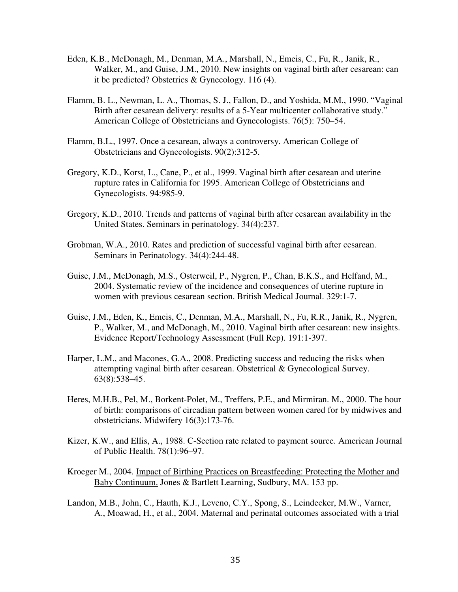- Eden, K.B., McDonagh, M., Denman, M.A., Marshall, N., Emeis, C., Fu, R., Janik, R., Walker, M., and Guise, J.M., 2010. New insights on vaginal birth after cesarean: can it be predicted? Obstetrics & Gynecology. 116 (4).
- Flamm, B. L., Newman, L. A., Thomas, S. J., Fallon, D., and Yoshida, M.M., 1990. "Vaginal Birth after cesarean delivery: results of a 5-Year multicenter collaborative study." American College of Obstetricians and Gynecologists. 76(5): 750–54.
- Flamm, B.L., 1997. Once a cesarean, always a controversy. American College of Obstetricians and Gynecologists. 90(2):312-5.
- Gregory, K.D., Korst, L., Cane, P., et al., 1999. Vaginal birth after cesarean and uterine rupture rates in California for 1995. American College of Obstetricians and Gynecologists. 94:985-9.
- Gregory, K.D., 2010. Trends and patterns of vaginal birth after cesarean availability in the United States. Seminars in perinatology. 34(4):237.
- Grobman, W.A., 2010. Rates and prediction of successful vaginal birth after cesarean. Seminars in Perinatology. 34(4):244-48.
- Guise, J.M., McDonagh, M.S., Osterweil, P., Nygren, P., Chan, B.K.S., and Helfand, M., 2004. Systematic review of the incidence and consequences of uterine rupture in women with previous cesarean section. British Medical Journal. 329:1-7.
- Guise, J.M., Eden, K., Emeis, C., Denman, M.A., Marshall, N., Fu, R.R., Janik, R., Nygren, P., Walker, M., and McDonagh, M., 2010. Vaginal birth after cesarean: new insights. Evidence Report/Technology Assessment (Full Rep). 191:1-397.
- Harper, L.M., and Macones, G.A., 2008. Predicting success and reducing the risks when attempting vaginal birth after cesarean. Obstetrical & Gynecological Survey. 63(8):538–45.
- Heres, M.H.B., Pel, M., Borkent-Polet, M., Treffers, P.E., and Mirmiran. M., 2000. The hour of birth: comparisons of circadian pattern between women cared for by midwives and obstetricians. Midwifery 16(3):173-76.
- Kizer, K.W., and Ellis, A., 1988. C-Section rate related to payment source. American Journal of Public Health. 78(1):96–97.
- Kroeger M., 2004. Impact of Birthing Practices on Breastfeeding: Protecting the Mother and Baby Continuum. Jones & Bartlett Learning, Sudbury, MA. 153 pp.
- Landon, M.B., John, C., Hauth, K.J., Leveno, C.Y., Spong, S., Leindecker, M.W., Varner, A., Moawad, H., et al., 2004. Maternal and perinatal outcomes associated with a trial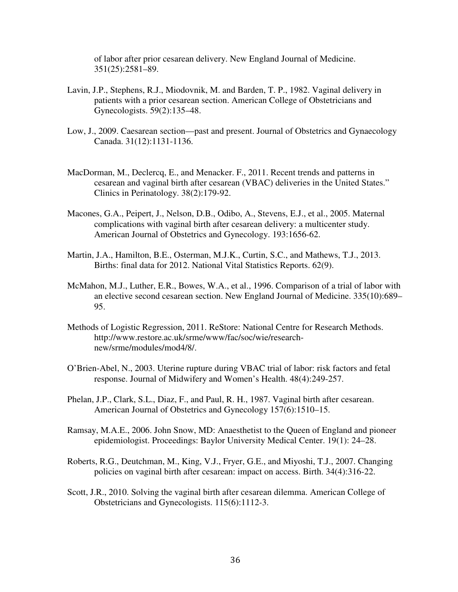of labor after prior cesarean delivery. New England Journal of Medicine. 351(25):2581–89.

- Lavin, J.P., Stephens, R.J., Miodovnik, M. and Barden, T. P., 1982. Vaginal delivery in patients with a prior cesarean section. American College of Obstetricians and Gynecologists. 59(2):135–48.
- Low, J., 2009. Caesarean section—past and present. Journal of Obstetrics and Gynaecology Canada. 31(12):1131-1136.
- MacDorman, M., Declercq, E., and Menacker. F., 2011. Recent trends and patterns in cesarean and vaginal birth after cesarean (VBAC) deliveries in the United States." Clinics in Perinatology. 38(2):179-92.
- Macones, G.A., Peipert, J., Nelson, D.B., Odibo, A., Stevens, E.J., et al., 2005. Maternal complications with vaginal birth after cesarean delivery: a multicenter study. American Journal of Obstetrics and Gynecology. 193:1656-62.
- Martin, J.A., Hamilton, B.E., Osterman, M.J.K., Curtin, S.C., and Mathews, T.J., 2013. Births: final data for 2012. National Vital Statistics Reports. 62(9).
- McMahon, M.J., Luther, E.R., Bowes, W.A., et al., 1996. Comparison of a trial of labor with an elective second cesarean section. New England Journal of Medicine. 335(10):689– 95.
- Methods of Logistic Regression, 2011. ReStore: National Centre for Research Methods. http://www.restore.ac.uk/srme/www/fac/soc/wie/researchnew/srme/modules/mod4/8/.
- O'Brien-Abel, N., 2003. Uterine rupture during VBAC trial of labor: risk factors and fetal response. Journal of Midwifery and Women's Health. 48(4):249-257.
- Phelan, J.P., Clark, S.L., Diaz, F., and Paul, R. H., 1987. Vaginal birth after cesarean. American Journal of Obstetrics and Gynecology 157(6):1510–15.
- Ramsay, M.A.E., 2006. John Snow, MD: Anaesthetist to the Queen of England and pioneer epidemiologist. Proceedings: Baylor University Medical Center. 19(1): 24–28.
- Roberts, R.G., Deutchman, M., King, V.J., Fryer, G.E., and Miyoshi, T.J., 2007. Changing policies on vaginal birth after cesarean: impact on access. Birth. 34(4):316-22.
- Scott, J.R., 2010. Solving the vaginal birth after cesarean dilemma. American College of Obstetricians and Gynecologists. 115(6):1112-3.